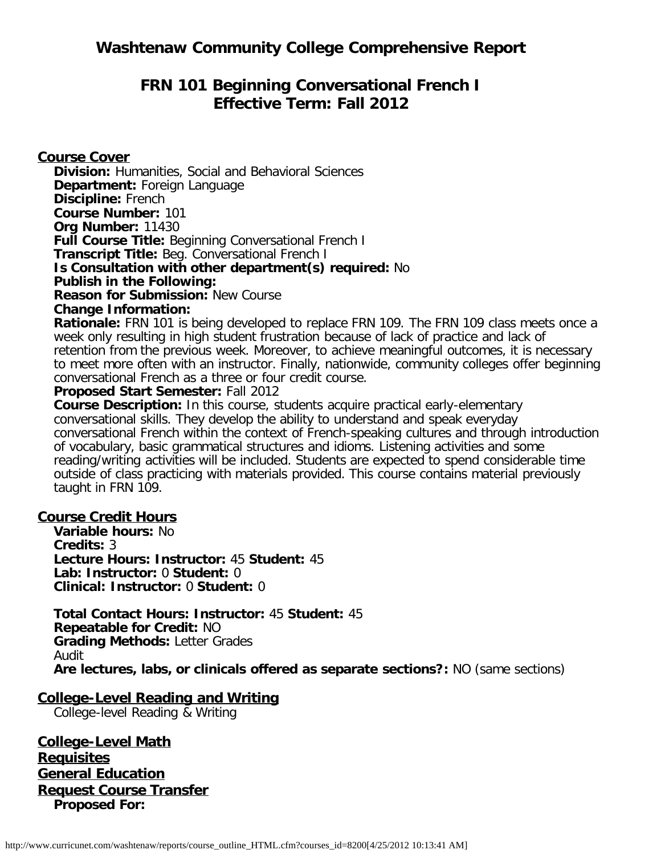# **FRN 101 Beginning Conversational French I Effective Term: Fall 2012**

## **Course Cover**

**Division:** Humanities, Social and Behavioral Sciences **Department:** Foreign Language **Discipline:** French **Course Number:** 101 **Org Number:** 11430 **Full Course Title:** Beginning Conversational French I **Transcript Title:** Beg. Conversational French I **Is Consultation with other department(s) required:** No **Publish in the Following: Reason for Submission:** New Course

## **Change Information:**

**Rationale:** FRN 101 is being developed to replace FRN 109. The FRN 109 class meets once a week only resulting in high student frustration because of lack of practice and lack of retention from the previous week. Moreover, to achieve meaningful outcomes, it is necessary to meet more often with an instructor. Finally, nationwide, community colleges offer beginning conversational French as a three or four credit course.

#### **Proposed Start Semester:** Fall 2012

**Course Description:** In this course, students acquire practical early-elementary conversational skills. They develop the ability to understand and speak everyday conversational French within the context of French-speaking cultures and through introduction of vocabulary, basic grammatical structures and idioms. Listening activities and some reading/writing activities will be included. Students are expected to spend considerable time outside of class practicing with materials provided. This course contains material previously taught in FRN 109.

## **Course Credit Hours**

**Variable hours:** No **Credits:** 3 **Lecture Hours: Instructor:** 45 **Student:** 45 **Lab: Instructor:** 0 **Student:** 0 **Clinical: Instructor:** 0 **Student:** 0

**Total Contact Hours: Instructor:** 45 **Student:** 45 **Repeatable for Credit:** NO **Grading Methods:** Letter Grades Audit **Are lectures, labs, or clinicals offered as separate sections?:** NO (same sections)

## **College-Level Reading and Writing**

College-level Reading & Writing

**College-Level Math Requisites General Education Request Course Transfer Proposed For:**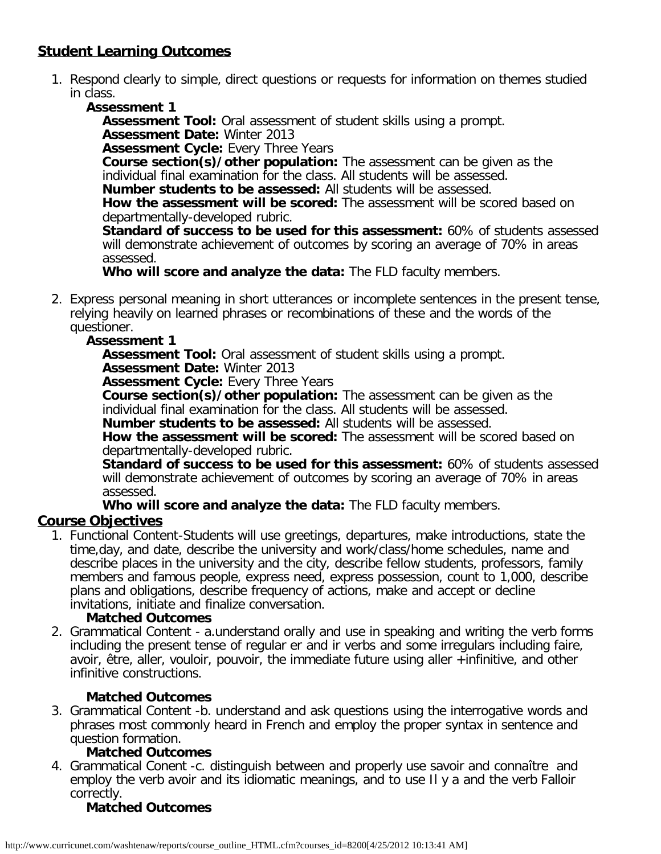## **Student Learning Outcomes**

- 1. Respond clearly to simple, direct questions or requests for information on themes studied in class.
	- **Assessment 1**

**Assessment Tool:** Oral assessment of student skills using a prompt. **Assessment Date:** Winter 2013

**Assessment Cycle:** Every Three Years

**Course section(s)/other population:** The assessment can be given as the individual final examination for the class. All students will be assessed.

**Number students to be assessed:** All students will be assessed.

**How the assessment will be scored:** The assessment will be scored based on departmentally-developed rubric.

**Standard of success to be used for this assessment:** 60% of students assessed will demonstrate achievement of outcomes by scoring an average of 70% in areas assessed.

**Who will score and analyze the data:** The FLD faculty members.

2. Express personal meaning in short utterances or incomplete sentences in the present tense, relying heavily on learned phrases or recombinations of these and the words of the questioner.

## **Assessment 1**

**Assessment Tool:** Oral assessment of student skills using a prompt.

**Assessment Date:** Winter 2013

**Assessment Cycle:** Every Three Years

**Course section(s)/other population:** The assessment can be given as the individual final examination for the class. All students will be assessed.

**Number students to be assessed:** All students will be assessed.

**How the assessment will be scored:** The assessment will be scored based on departmentally-developed rubric.

**Standard of success to be used for this assessment:** 60% of students assessed will demonstrate achievement of outcomes by scoring an average of 70% in areas assessed.

**Who will score and analyze the data:** The FLD faculty members.

## **Course Objectives**

1. Functional Content-Students will use greetings, departures, make introductions, state the time,day, and date, describe the university and work/class/home schedules, name and describe places in the university and the city, describe fellow students, professors, family members and famous people, express need, express possession, count to 1,000, describe plans and obligations, describe frequency of actions, make and accept or decline invitations, initiate and finalize conversation.

## **Matched Outcomes**

2. Grammatical Content - a.understand orally and use in speaking and writing the verb forms including the present tense of regular er and ir verbs and some irregulars including faire, avoir, être, aller, vouloir, pouvoir, the immediate future using aller +infinitive, and other infinitive constructions.

## **Matched Outcomes**

3. Grammatical Content -b. understand and ask questions using the interrogative words and phrases most commonly heard in French and employ the proper syntax in sentence and question formation.

## **Matched Outcomes**

4. Grammatical Conent -c. distinguish between and properly use savoir and connaître and employ the verb avoir and its idiomatic meanings, and to use Il y a and the verb Falloir correctly.

## **Matched Outcomes**